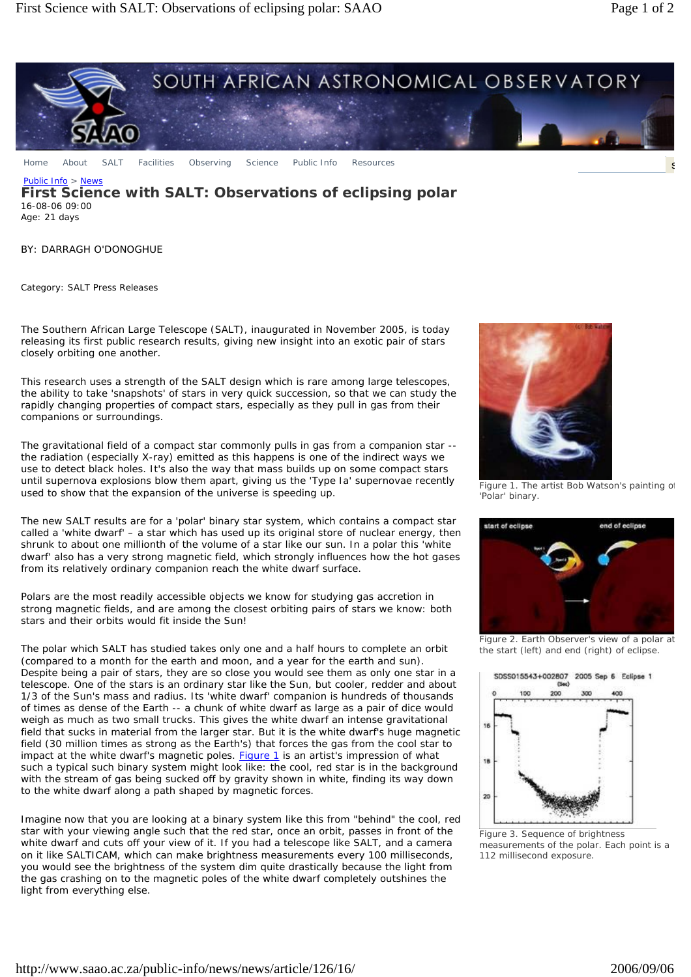

Home About SALT Facilities Observing Science Public Info Resources

Public Info > News **First Science with SALT: Observations of eclipsing polar** 16-08-06 09:00 Age: 21 days

BY: DARRAGH O'DONOGHUE

Category: SALT Press Releases

The *Southern African Large Telescope (SALT)*, inaugurated in November 2005, is today releasing its first public research results, giving new insight into an exotic pair of stars closely orbiting one another.

This research uses a strength of the SALT design which is rare among large telescopes, the ability to take 'snapshots' of stars in very quick succession, so that we can study the rapidly changing properties of compact stars, especially as they pull in gas from their companions or surroundings.

The gravitational field of a compact star commonly pulls in gas from a companion star - the radiation (especially X-ray) emitted as this happens is one of the indirect ways we use to detect black holes. It's also the way that mass builds up on some compact stars until supernova explosions blow them apart, giving us the 'Type Ia' supernovae recently used to show that the expansion of the universe is speeding up.

The new SALT results are for a 'polar' binary star system, which contains a compact star called a 'white dwarf' – a star which has used up its original store of nuclear energy, then shrunk to about one millionth of the volume of a star like our sun. In a polar this 'white dwarf' also has a very strong magnetic field, which strongly influences how the hot gases from its relatively ordinary companion reach the white dwarf surface.

Polars are the most readily accessible objects we know for studying gas accretion in strong magnetic fields, and are among the closest orbiting pairs of stars we know: both stars and their orbits would fit inside the Sun!

The polar which SALT has studied takes only one and a half hours to complete an orbit (compared to a month for the earth and moon, and a year for the earth and sun). Despite being a pair of stars, they are so close you would see them as only one star in a telescope. One of the stars is an ordinary star like the Sun, but cooler, redder and about 1/3 of the Sun's mass and radius. Its 'white dwarf' companion is hundreds of thousands of times as dense of the Earth -- a chunk of white dwarf as large as a pair of dice would weigh as much as two small trucks. This gives the white dwarf an intense gravitational field that sucks in material from the larger star. But it is the white dwarf's huge magnetic field (30 million times as strong as the Earth's) that forces the gas from the cool star to impact at the white dwarf's magnetic poles. Figure 1 is an artist's impression of what such a typical such binary system might look like: the cool, red star is in the background with the stream of gas being sucked off by gravity shown in white, finding its way down to the white dwarf along a path shaped by magnetic forces.

Imagine now that you are looking at a binary system like this from "behind" the cool, red star with your viewing angle such that the red star, once an orbit, passes in front of the white dwarf and cuts off your view of it. If you had a telescope like SALT, and a camera on it like SALTICAM, which can make brightness measurements every 100 milliseconds, you would see the brightness of the system dim quite drastically because the light from the gas crashing on to the magnetic poles of the white dwarf completely outshines the light from everything else.



Figure 1. The artist Bob Watson's painting of 'Polar' binary.



Figure 2. Earth Observer's view of a polar at the start (left) and end (right) of eclipse.



Figure 3. Sequence of brightness measurements of the polar. Each point is a 112 millisecond exposure.